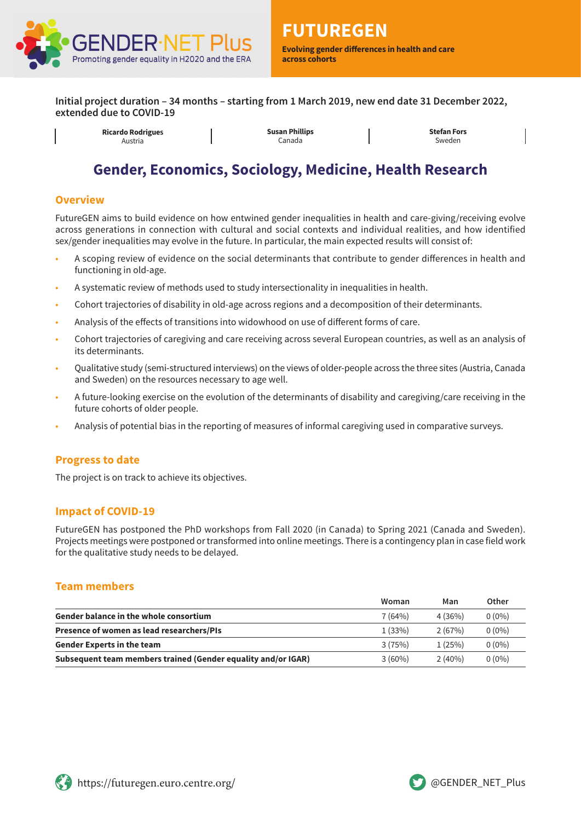

**Initial project duration – 34 months – starting from 1 March 2019, new end date 31 December 2022, extended due to COVID-19**



**Ricardo Rodrigues** Austria

**Susan Phillips** Canada

**Stefan Fors** Sweden

# **Gender, Economics, Sociology, Medicine, Health Research**

#### **Overview**

FutureGEN aims to build evidence on how entwined gender inequalities in health and care-giving/receiving evolve across generations in connection with cultural and social contexts and individual realities, and how identified sex/gender inequalities may evolve in the future. In particular, the main expected results will consist of:

- A scoping review of evidence on the social determinants that contribute to gender differences in health and functioning in old-age.
- A systematic review of methods used to study intersectionality in inequalities in health.
- Cohort trajectories of disability in old-age across regions and a decomposition of their determinants.
- Analysis of the effects of transitions into widowhood on use of different forms of care.
- Cohort trajectories of caregiving and care receiving across several European countries, as well as an analysis of its determinants.
- Qualitative study (semi-structured interviews) on the views of older-people across the three sites (Austria, Canada and Sweden) on the resources necessary to age well.
- A future-looking exercise on the evolution of the determinants of disability and caregiving/care receiving in the future cohorts of older people.
- Analysis of potential bias in the reporting of measures of informal caregiving used in comparative surveys.

# **Progress to date**

The project is on track to achieve its objectives.

# **Impact of COVID-19**

FutureGEN has postponed the PhD workshops from Fall 2020 (in Canada) to Spring 2021 (Canada and Sweden). Projects meetings were postponed or transformed into online meetings. There is a contingency plan in case field work for the qualitative study needs to be delayed.

#### **Team members**

|                                                               | Woman     | Man       | Other    |
|---------------------------------------------------------------|-----------|-----------|----------|
| <b>Gender balance in the whole consortium</b>                 | 7(64%)    | 4(36%)    | $0(0\%)$ |
| Presence of women as lead researchers/PIs                     | 1(33%)    | 2(67%)    | $0(0\%)$ |
| <b>Gender Experts in the team</b>                             | 3(75%)    | 1(25%)    | $0(0\%)$ |
| Subsequent team members trained (Gender equality and/or IGAR) | $3(60\%)$ | $2(40\%)$ | $0(0\%)$ |